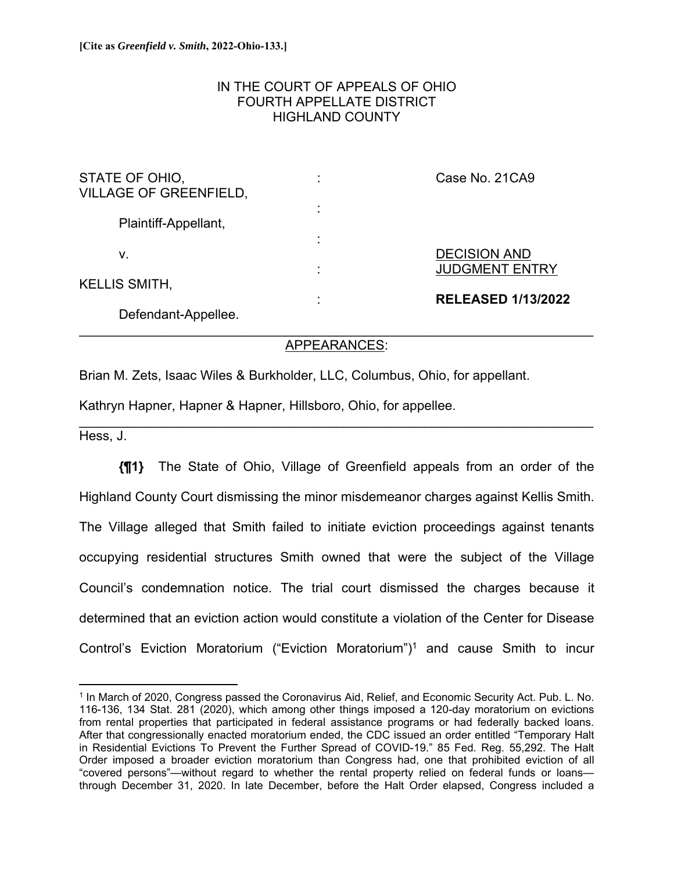## IN THE COURT OF APPEALS OF OHIO FOURTH APPELLATE DISTRICT HIGHLAND COUNTY

| STATE OF OHIO,<br><b>VILLAGE OF GREENFIELD,</b> | ٠<br>٠ | Case No. 21CA9                               |
|-------------------------------------------------|--------|----------------------------------------------|
| Plaintiff-Appellant,                            | ٠      |                                              |
| ν.                                              | ٠      | <b>DECISION AND</b><br><b>JUDGMENT ENTRY</b> |
| <b>KELLIS SMITH,</b>                            | ٠      | <b>RELEASED 1/13/2022</b>                    |
| Defendant-Appellee.                             |        |                                              |

## APPEARANCES:

 $\mathcal{L}_\mathcal{L} = \{ \mathcal{L}_\mathcal{L} = \{ \mathcal{L}_\mathcal{L} = \{ \mathcal{L}_\mathcal{L} = \{ \mathcal{L}_\mathcal{L} = \{ \mathcal{L}_\mathcal{L} = \{ \mathcal{L}_\mathcal{L} = \{ \mathcal{L}_\mathcal{L} = \{ \mathcal{L}_\mathcal{L} = \{ \mathcal{L}_\mathcal{L} = \{ \mathcal{L}_\mathcal{L} = \{ \mathcal{L}_\mathcal{L} = \{ \mathcal{L}_\mathcal{L} = \{ \mathcal{L}_\mathcal{L} = \{ \mathcal{L}_\mathcal{$ 

Brian M. Zets, Isaac Wiles & Burkholder, LLC, Columbus, Ohio, for appellant.

Kathryn Hapner, Hapner & Hapner, Hillsboro, Ohio, for appellee.

Hess, J.

**{¶1}** The State of Ohio, Village of Greenfield appeals from an order of the Highland County Court dismissing the minor misdemeanor charges against Kellis Smith. The Village alleged that Smith failed to initiate eviction proceedings against tenants occupying residential structures Smith owned that were the subject of the Village Council's condemnation notice. The trial court dismissed the charges because it determined that an eviction action would constitute a violation of the Center for Disease Control's Eviction Moratorium ("Eviction Moratorium")<sup>1</sup> and cause Smith to incur

<sup>1</sup> In March of 2020, Congress passed the Coronavirus Aid, Relief, and Economic Security Act. Pub. L. No. 116-136, 134 Stat. 281 (2020), which among other things imposed a 120-day moratorium on evictions from rental properties that participated in federal assistance programs or had federally backed loans. After that congressionally enacted moratorium ended, the CDC issued an order entitled "Temporary Halt in Residential Evictions To Prevent the Further Spread of COVID-19." 85 Fed. Reg. 55,292. The Halt Order imposed a broader eviction moratorium than Congress had, one that prohibited eviction of all "covered persons"—without regard to whether the rental property relied on federal funds or loans through December 31, 2020. In late December, before the Halt Order elapsed, Congress included a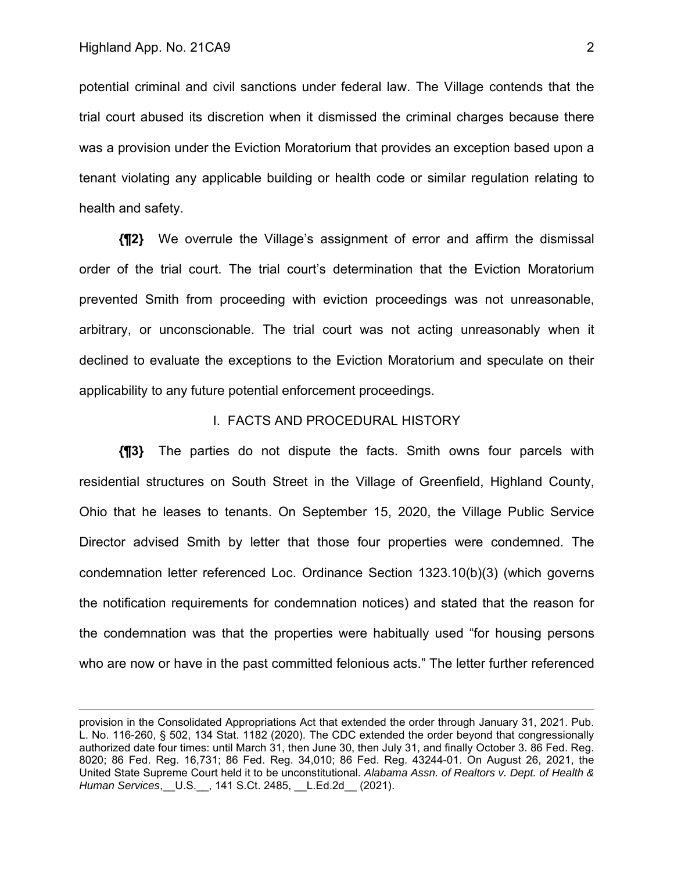potential criminal and civil sanctions under federal law. The Village contends that the trial court abused its discretion when it dismissed the criminal charges because there was a provision under the Eviction Moratorium that provides an exception based upon a tenant violating any applicable building or health code or similar regulation relating to health and safety.

**{¶2}** We overrule the Village's assignment of error and affirm the dismissal order of the trial court. The trial court's determination that the Eviction Moratorium prevented Smith from proceeding with eviction proceedings was not unreasonable, arbitrary, or unconscionable. The trial court was not acting unreasonably when it declined to evaluate the exceptions to the Eviction Moratorium and speculate on their applicability to any future potential enforcement proceedings.

#### I. FACTS AND PROCEDURAL HISTORY

**{¶3}** The parties do not dispute the facts. Smith owns four parcels with residential structures on South Street in the Village of Greenfield, Highland County, Ohio that he leases to tenants. On September 15, 2020, the Village Public Service Director advised Smith by letter that those four properties were condemned. The condemnation letter referenced Loc. Ordinance Section 1323.10(b)(3) (which governs the notification requirements for condemnation notices) and stated that the reason for the condemnation was that the properties were habitually used "for housing persons who are now or have in the past committed felonious acts." The letter further referenced

provision in the Consolidated Appropriations Act that extended the order through January 31, 2021. Pub. L. No. 116-260, § 502, 134 Stat. 1182 (2020). The CDC extended the order beyond that congressionally authorized date four times: until March 31, then June 30, then July 31, and finally October 3. 86 Fed. Reg. 8020; 86 Fed. Reg. 16,731; 86 Fed. Reg. 34,010; 86 Fed. Reg. 43244-01. On August 26, 2021, the United State Supreme Court held it to be unconstitutional. *Alabama Assn. of Realtors v. Dept. of Health & Human Services*,\_\_U.S.\_\_, 141 S.Ct. 2485, \_\_L.Ed.2d\_\_ (2021).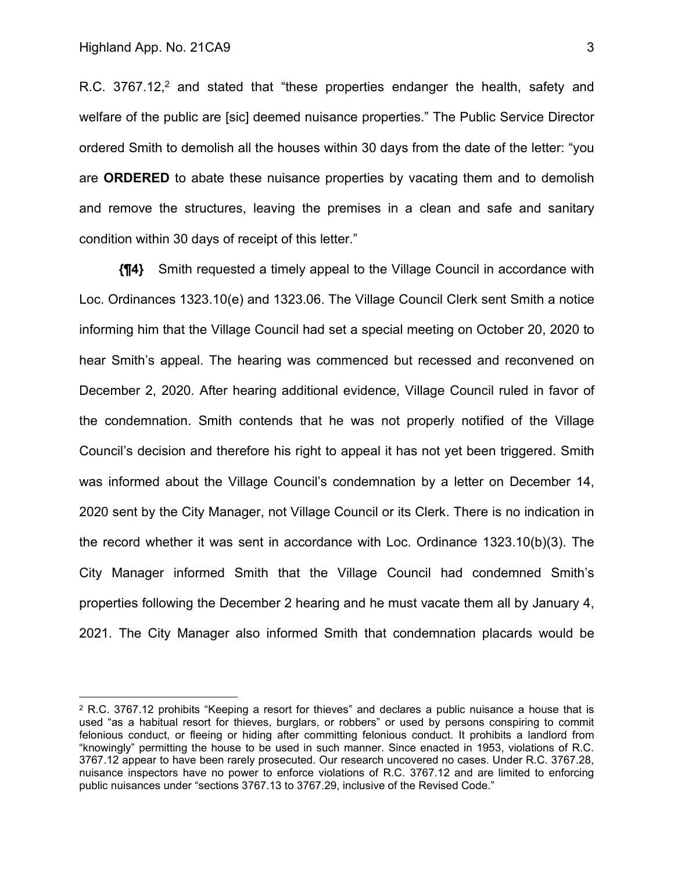R.C.  $3767.12<sup>2</sup>$  and stated that "these properties endanger the health, safety and welfare of the public are [sic] deemed nuisance properties." The Public Service Director ordered Smith to demolish all the houses within 30 days from the date of the letter: "you are **ORDERED** to abate these nuisance properties by vacating them and to demolish and remove the structures, leaving the premises in a clean and safe and sanitary condition within 30 days of receipt of this letter."

**{¶4}** Smith requested a timely appeal to the Village Council in accordance with Loc. Ordinances 1323.10(e) and 1323.06. The Village Council Clerk sent Smith a notice informing him that the Village Council had set a special meeting on October 20, 2020 to hear Smith's appeal. The hearing was commenced but recessed and reconvened on December 2, 2020. After hearing additional evidence, Village Council ruled in favor of the condemnation. Smith contends that he was not properly notified of the Village Council's decision and therefore his right to appeal it has not yet been triggered. Smith was informed about the Village Council's condemnation by a letter on December 14, 2020 sent by the City Manager, not Village Council or its Clerk. There is no indication in the record whether it was sent in accordance with Loc. Ordinance 1323.10(b)(3). The City Manager informed Smith that the Village Council had condemned Smith's properties following the December 2 hearing and he must vacate them all by January 4, 2021. The City Manager also informed Smith that condemnation placards would be

 $2$  R.C. 3767.12 prohibits "Keeping a resort for thieves" and declares a public nuisance a house that is used "as a habitual resort for thieves, burglars, or robbers" or used by persons conspiring to commit felonious conduct, or fleeing or hiding after committing felonious conduct. It prohibits a landlord from "knowingly" permitting the house to be used in such manner. Since enacted in 1953, violations of R.C. 3767.12 appear to have been rarely prosecuted. Our research uncovered no cases. Under R.C. 3767.28, nuisance inspectors have no power to enforce violations of R.C. 3767.12 and are limited to enforcing public nuisances under "sections 3767.13 to 3767.29, inclusive of the Revised Code."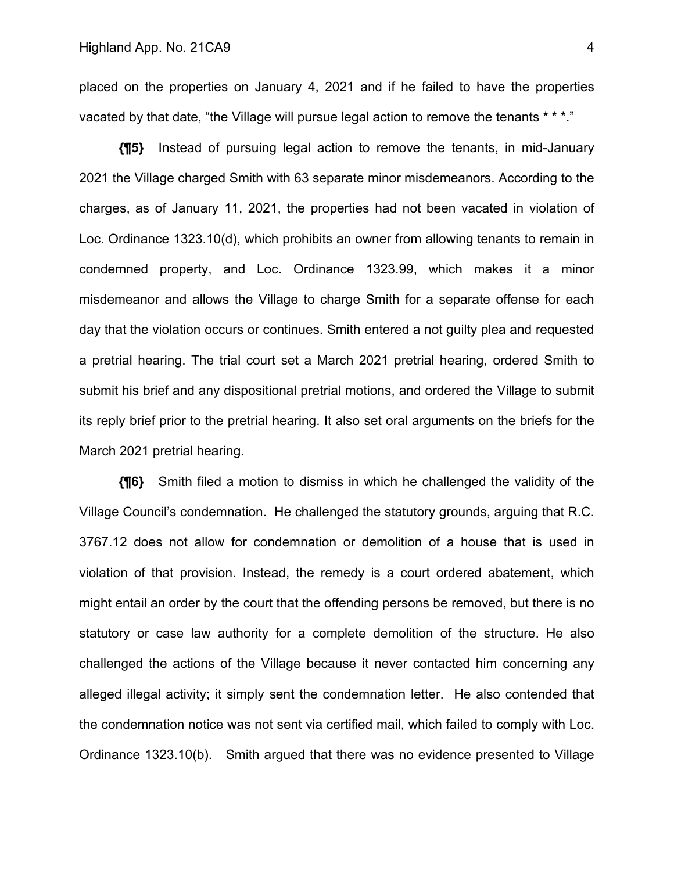placed on the properties on January 4, 2021 and if he failed to have the properties vacated by that date, "the Village will pursue legal action to remove the tenants \* \* \*."

**{¶5}** Instead of pursuing legal action to remove the tenants, in mid-January 2021 the Village charged Smith with 63 separate minor misdemeanors. According to the charges, as of January 11, 2021, the properties had not been vacated in violation of Loc. Ordinance 1323.10(d), which prohibits an owner from allowing tenants to remain in condemned property, and Loc. Ordinance 1323.99, which makes it a minor misdemeanor and allows the Village to charge Smith for a separate offense for each day that the violation occurs or continues. Smith entered a not guilty plea and requested a pretrial hearing. The trial court set a March 2021 pretrial hearing, ordered Smith to submit his brief and any dispositional pretrial motions, and ordered the Village to submit its reply brief prior to the pretrial hearing. It also set oral arguments on the briefs for the March 2021 pretrial hearing.

**{¶6}** Smith filed a motion to dismiss in which he challenged the validity of the Village Council's condemnation. He challenged the statutory grounds, arguing that R.C. 3767.12 does not allow for condemnation or demolition of a house that is used in violation of that provision. Instead, the remedy is a court ordered abatement, which might entail an order by the court that the offending persons be removed, but there is no statutory or case law authority for a complete demolition of the structure. He also challenged the actions of the Village because it never contacted him concerning any alleged illegal activity; it simply sent the condemnation letter. He also contended that the condemnation notice was not sent via certified mail, which failed to comply with Loc. Ordinance 1323.10(b). Smith argued that there was no evidence presented to Village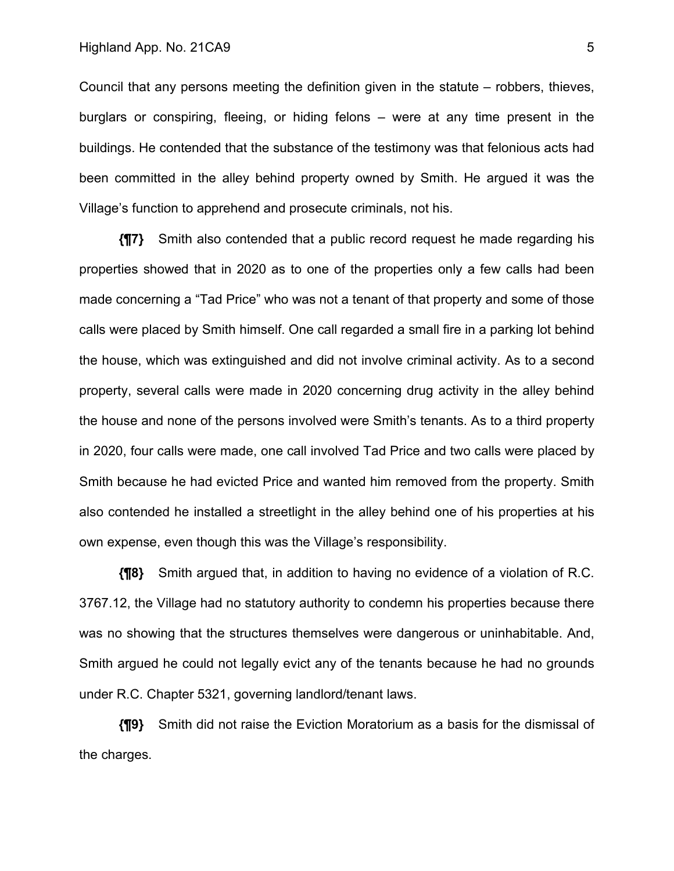#### Highland App. No. 21CA9 5

Council that any persons meeting the definition given in the statute – robbers, thieves, burglars or conspiring, fleeing, or hiding felons – were at any time present in the buildings. He contended that the substance of the testimony was that felonious acts had been committed in the alley behind property owned by Smith. He argued it was the Village's function to apprehend and prosecute criminals, not his.

**{¶7}** Smith also contended that a public record request he made regarding his properties showed that in 2020 as to one of the properties only a few calls had been made concerning a "Tad Price" who was not a tenant of that property and some of those calls were placed by Smith himself. One call regarded a small fire in a parking lot behind the house, which was extinguished and did not involve criminal activity. As to a second property, several calls were made in 2020 concerning drug activity in the alley behind the house and none of the persons involved were Smith's tenants. As to a third property in 2020, four calls were made, one call involved Tad Price and two calls were placed by Smith because he had evicted Price and wanted him removed from the property. Smith also contended he installed a streetlight in the alley behind one of his properties at his own expense, even though this was the Village's responsibility.

**{¶8}** Smith argued that, in addition to having no evidence of a violation of R.C. 3767.12, the Village had no statutory authority to condemn his properties because there was no showing that the structures themselves were dangerous or uninhabitable. And, Smith argued he could not legally evict any of the tenants because he had no grounds under R.C. Chapter 5321, governing landlord/tenant laws.

**{¶9}** Smith did not raise the Eviction Moratorium as a basis for the dismissal of the charges.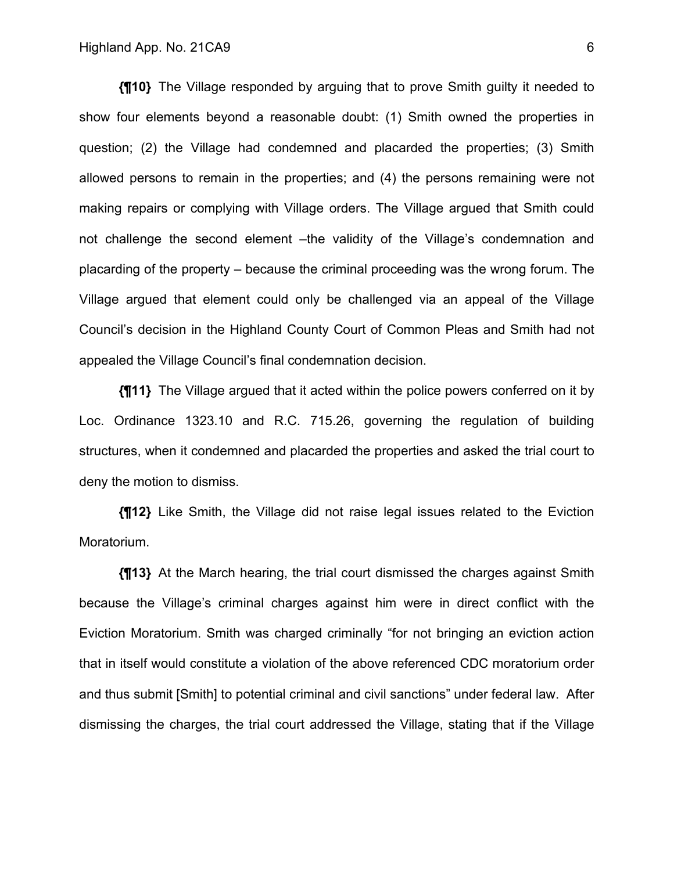**{¶10}** The Village responded by arguing that to prove Smith guilty it needed to show four elements beyond a reasonable doubt: (1) Smith owned the properties in question; (2) the Village had condemned and placarded the properties; (3) Smith allowed persons to remain in the properties; and (4) the persons remaining were not making repairs or complying with Village orders. The Village argued that Smith could not challenge the second element –the validity of the Village's condemnation and placarding of the property – because the criminal proceeding was the wrong forum. The Village argued that element could only be challenged via an appeal of the Village Council's decision in the Highland County Court of Common Pleas and Smith had not appealed the Village Council's final condemnation decision.

**{¶11}** The Village argued that it acted within the police powers conferred on it by Loc. Ordinance 1323.10 and R.C. 715.26, governing the regulation of building structures, when it condemned and placarded the properties and asked the trial court to deny the motion to dismiss.

**{¶12}** Like Smith, the Village did not raise legal issues related to the Eviction Moratorium.

**{¶13}** At the March hearing, the trial court dismissed the charges against Smith because the Village's criminal charges against him were in direct conflict with the Eviction Moratorium. Smith was charged criminally "for not bringing an eviction action that in itself would constitute a violation of the above referenced CDC moratorium order and thus submit [Smith] to potential criminal and civil sanctions" under federal law. After dismissing the charges, the trial court addressed the Village, stating that if the Village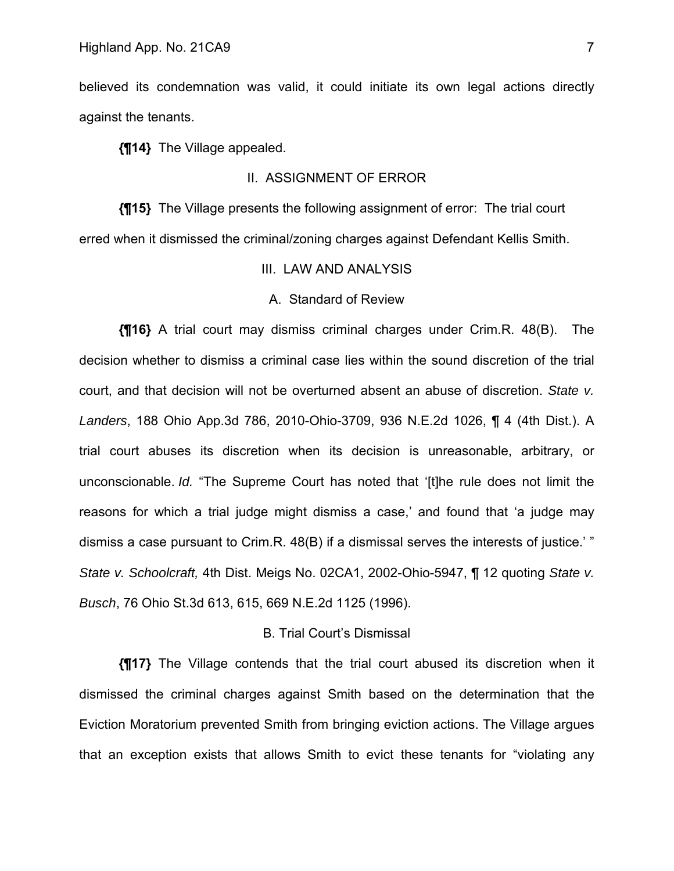believed its condemnation was valid, it could initiate its own legal actions directly against the tenants.

**{¶14}** The Village appealed.

### II. ASSIGNMENT OF ERROR

**{¶15}** The Village presents the following assignment of error: The trial court erred when it dismissed the criminal/zoning charges against Defendant Kellis Smith.

III. LAW AND ANALYSIS

#### A. Standard of Review

**{¶16}** A trial court may dismiss criminal charges under Crim.R. 48(B). The decision whether to dismiss a criminal case lies within the sound discretion of the trial court, and that decision will not be overturned absent an abuse of discretion. *State v. Landers*, 188 Ohio App.3d 786, 2010-Ohio-3709, 936 N.E.2d 1026, ¶ 4 (4th Dist.). A trial court abuses its discretion when its decision is unreasonable, arbitrary, or unconscionable. *Id.* "The Supreme Court has noted that '[t]he rule does not limit the reasons for which a trial judge might dismiss a case,' and found that 'a judge may dismiss a case pursuant to Crim.R. 48(B) if a dismissal serves the interests of justice.' " *State v. Schoolcraft,* 4th Dist. Meigs No. 02CA1, 2002-Ohio-5947, ¶ 12 quoting *State v. Busch*, 76 Ohio St.3d 613, 615, 669 N.E.2d 1125 (1996).

#### B. Trial Court's Dismissal

**{¶17}** The Village contends that the trial court abused its discretion when it dismissed the criminal charges against Smith based on the determination that the Eviction Moratorium prevented Smith from bringing eviction actions. The Village argues that an exception exists that allows Smith to evict these tenants for "violating any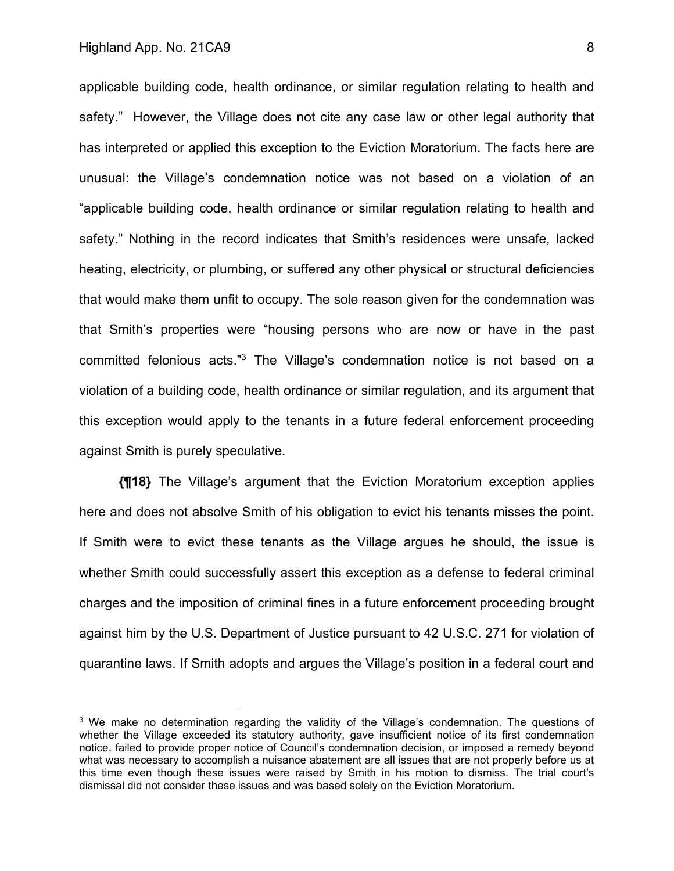applicable building code, health ordinance, or similar regulation relating to health and safety." However, the Village does not cite any case law or other legal authority that has interpreted or applied this exception to the Eviction Moratorium. The facts here are unusual: the Village's condemnation notice was not based on a violation of an "applicable building code, health ordinance or similar regulation relating to health and safety." Nothing in the record indicates that Smith's residences were unsafe, lacked heating, electricity, or plumbing, or suffered any other physical or structural deficiencies that would make them unfit to occupy. The sole reason given for the condemnation was that Smith's properties were "housing persons who are now or have in the past committed felonious acts."3 The Village's condemnation notice is not based on a violation of a building code, health ordinance or similar regulation, and its argument that this exception would apply to the tenants in a future federal enforcement proceeding against Smith is purely speculative.

**{¶18}** The Village's argument that the Eviction Moratorium exception applies here and does not absolve Smith of his obligation to evict his tenants misses the point. If Smith were to evict these tenants as the Village argues he should, the issue is whether Smith could successfully assert this exception as a defense to federal criminal charges and the imposition of criminal fines in a future enforcement proceeding brought against him by the U.S. Department of Justice pursuant to 42 U.S.C. 271 for violation of quarantine laws. If Smith adopts and argues the Village's position in a federal court and

<sup>&</sup>lt;sup>3</sup> We make no determination regarding the validity of the Village's condemnation. The questions of whether the Village exceeded its statutory authority, gave insufficient notice of its first condemnation notice, failed to provide proper notice of Council's condemnation decision, or imposed a remedy beyond what was necessary to accomplish a nuisance abatement are all issues that are not properly before us at this time even though these issues were raised by Smith in his motion to dismiss. The trial court's dismissal did not consider these issues and was based solely on the Eviction Moratorium.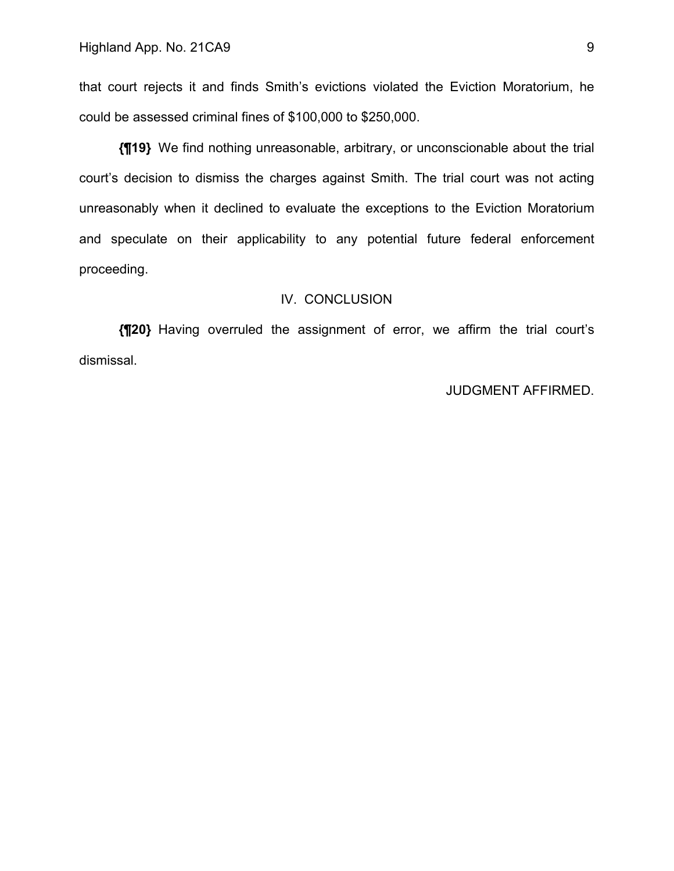that court rejects it and finds Smith's evictions violated the Eviction Moratorium, he could be assessed criminal fines of \$100,000 to \$250,000.

**{¶19}** We find nothing unreasonable, arbitrary, or unconscionable about the trial court's decision to dismiss the charges against Smith. The trial court was not acting unreasonably when it declined to evaluate the exceptions to the Eviction Moratorium and speculate on their applicability to any potential future federal enforcement proceeding.

#### IV. CONCLUSION

**{¶20}** Having overruled the assignment of error, we affirm the trial court's dismissal.

### JUDGMENT AFFIRMED.